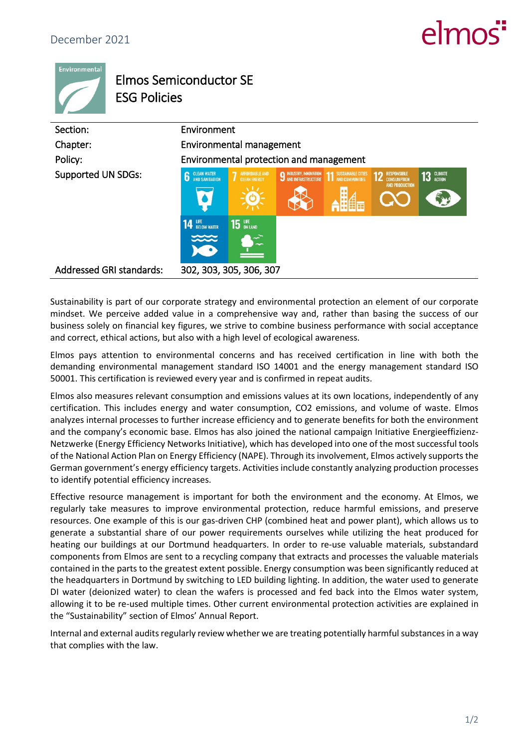## $\rho$



## Elmos Semiconductor SE ESG Policies

| Section:                        | Environment                                                             |                                                               |                               |                    |                                                                         |            |
|---------------------------------|-------------------------------------------------------------------------|---------------------------------------------------------------|-------------------------------|--------------------|-------------------------------------------------------------------------|------------|
| Chapter:                        | Environmental management                                                |                                                               |                               |                    |                                                                         |            |
| Policy:                         | Environmental protection and management                                 |                                                               |                               |                    |                                                                         |            |
| <b>Supported UN SDGs:</b>       | <b>CLEAN WATER</b><br>AND SANITATION<br>6<br><b>14 LIFE</b> BELOW WATER | <b>AFFORDABLE AND</b><br><b>CLEAN ENERGY</b><br><b>15</b> UPE | <b>9 INDUSTRY, INNOVATION</b> | SUSTAINABLE CITIES | <b>RESPONSIBLE</b><br>12<br><b>CONSUMPTION</b><br><b>AND PRODUCTION</b> | 13 GLIMATE |
| <b>Addressed GRI standards:</b> |                                                                         | 302, 303, 305, 306, 307                                       |                               |                    |                                                                         |            |

Sustainability is part of our corporate strategy and environmental protection an element of our corporate mindset. We perceive added value in a comprehensive way and, rather than basing the success of our business solely on financial key figures, we strive to combine business performance with social acceptance and correct, ethical actions, but also with a high level of ecological awareness.

Elmos pays attention to environmental concerns and has received certification in line with both the demanding environmental management standard ISO 14001 and the energy management standard ISO 50001. This certification is reviewed every year and is confirmed in repeat audits.

Elmos also measures relevant consumption and emissions values at its own locations, independently of any certification. This includes energy and water consumption, CO2 emissions, and volume of waste. Elmos analyzes internal processes to further increase efficiency and to generate benefits for both the environment and the company's economic base. Elmos has also joined the national campaign Initiative Energieeffizienz-Netzwerke (Energy Efficiency Networks Initiative), which has developed into one of the most successful tools of the National Action Plan on Energy Efficiency (NAPE). Through its involvement, Elmos actively supports the German government's energy efficiency targets. Activities include constantly analyzing production processes to identify potential efficiency increases.

Effective resource management is important for both the environment and the economy. At Elmos, we regularly take measures to improve environmental protection, reduce harmful emissions, and preserve resources. One example of this is our gas-driven CHP (combined heat and power plant), which allows us to generate a substantial share of our power requirements ourselves while utilizing the heat produced for heating our buildings at our Dortmund headquarters. In order to re-use valuable materials, substandard components from Elmos are sent to a recycling company that extracts and processes the valuable materials contained in the parts to the greatest extent possible. Energy consumption was been significantly reduced at the headquarters in Dortmund by switching to LED building lighting. In addition, the water used to generate DI water (deionized water) to clean the wafers is processed and fed back into the Elmos water system, allowing it to be re-used multiple times. Other current environmental protection activities are explained in the "Sustainability" section of Elmos' Annual Report.

Internal and external audits regularly review whether we are treating potentially harmful substances in a way that complies with the law.